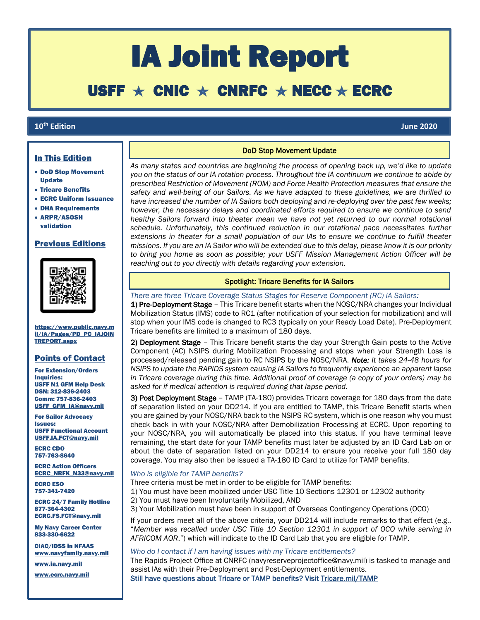# IA Joint Report

# USFF  $\star$  CNIC  $\star$  CNRFC  $\star$  NECC  $\star$  ECRC

# **10th Edition June 2020**

ſ

# In This Edition

- DoD Stop Movement Update
- Tricare Benefits
- ECRC Uniform Issuance
- DHA Requirements
- ARPR/ASOSH validation

#### Previous Editions



[https://www.public.navy.m](https://www.public.navy.mil/IA/Pages/PD_PC_IAJOINTREPORT.aspx) [il/IA/Pages/PD\\_PC\\_IAJOIN](https://www.public.navy.mil/IA/Pages/PD_PC_IAJOINTREPORT.aspx) [TREPORT.aspx](https://www.public.navy.mil/IA/Pages/PD_PC_IAJOINTREPORT.aspx)

# Points of Contact

For Extension/Orders Inquiries: USFF N1 GFM Help Desk DSN: 312-836-2403 Comm: 757-836-2403 [USFF\\_GFM\\_IA@navy.mil](mailto:USFF_GFM_IA@navy.mil)

For Sailor Advocacy Issues: USFF Functional Account [USFF.IA.FCT@navy.mil](mailto:USFF.IA.FCT@navy.mil)

ECRC CDO 757-763-8640

ECRC Action Officers [ECRC\\_NRFK\\_N33@navy.mil](mailto:ecrc_nrfk_n33@navy.mil)

ECRC ESO 757-341-7420

ECRC 24/7 Family Hotline 877-364-4302 [ECRC.FS.FCT@navy.mil](mailto:ECRC.FS.FCT@navy.mil)

My Navy Career Center 833-330-6622

CIAC/IDSS in NFAAS [www.navyfamily.navy.mil](http://www.navyfamily.navy.mil/)

[www.ia.navy.mil](http://www.ia.navy.mil/)

[www.ecrc.navy.mil](http://www.ecrc.navy.mil/)

# **DoD Stop Movement Update**

*As many states and countries are beginning the process of opening back up, we'd like to update you on the status of our IA rotation process. Throughout the IA continuum we continue to abide by prescribed Restriction of Movement (ROM) and Force Health Protection measures that ensure the safety and well-being of our Sailors. As we have adapted to these guidelines, we are thrilled to have increased the number of IA Sailors both deploying and re-deploying over the past few weeks; however, the necessary delays and coordinated efforts required to ensure we continue to send healthy Sailors forward into theater mean we have not yet returned to our normal rotational schedule. Unfortunately, this continued reduction in our rotational pace necessitates further extensions in theater for a small population of our IAs to ensure we continue to fulfill theater missions. If you are an IA Sailor who will be extended due to this delay, please know it is our priority to bring you home as soon as possible; your USFF Mission Management Action Officer will be reaching out to you directly with details regarding your extension.*

# Spotlight: Tricare Benefits for IA Sailors

*There are three Tricare Coverage Status Stages for Reserve Component (RC) IA Sailors:*

1) Pre-Deployment Stage - This Tricare benefit starts when the NOSC/NRA changes your Individual Mobilization Status (IMS) code to RC1 (after notification of your selection for mobilization) and will stop when your IMS code is changed to RC3 (typically on your Ready Load Date). Pre-Deployment Tricare benefits are limited to a maximum of 180 days.

2) Deployment Stage – This Tricare benefit starts the day your Strength Gain posts to the Active Component (AC) NSIPS during Mobilization Processing and stops when your Strength Loss is processed/released pending gain to RC NSIPS by the NOSC/NRA. *Note: It takes 24-48 hours for NSIPS to update the RAPIDS system causing IA Sailors to frequently experience an apparent lapse in Tricare coverage during this time. Additional proof of coverage (a copy of your orders) may be asked for if medical attention is required during that lapse period.*

3) Post Deployment Stage – TAMP (TA-180) provides Tricare coverage for 180 days from the date of separation listed on your DD214. If you are entitled to TAMP, this Tricare Benefit starts when you are gained by your NOSC/NRA back to the NSIPS RC system, which is one reason why you must check back in with your NOSC/NRA after Demobilization Processing at ECRC. Upon reporting to your NOSC/NRA, you will automatically be placed into this status. If you have terminal leave remaining, the start date for your TAMP benefits must later be adjusted by an ID Card Lab on or about the date of separation listed on your DD214 to ensure you receive your full 180 day coverage. You may also then be issued a TA-180 ID Card to utilize for TAMP benefits.

# *Who is eligible for TAMP benefits?*

Three criteria must be met in order to be eligible for TAMP benefits:

1) You must have been mobilized under USC Title 10 Sections 12301 or 12302 authority

2) You must have been Involuntarily Mobilized, AND

3) Your Mobilization must have been in support of Overseas Contingency Operations (OCO)

If your orders meet all of the above criteria, your DD214 will include remarks to that effect (e.g., "*Member was recalled under USC Title 10 Section 12301 in support of OCO while serving in AFRICOM AOR*.") which will indicate to the ID Card Lab that you are eligible for TAMP.

#### *Who do I contact if I am having issues with my Tricare entitlements?*

The Rapids Project Office at CNRFC (navyreserveprojectoffice@navy.mil) is tasked to manage and assist IAs with their Pre-Deployment and Post-Deployment entitlements.

Still have questions about Tricare or TAMP benefits? Visit [Tricare.mil/TAMP](tricare.mil/tamp)